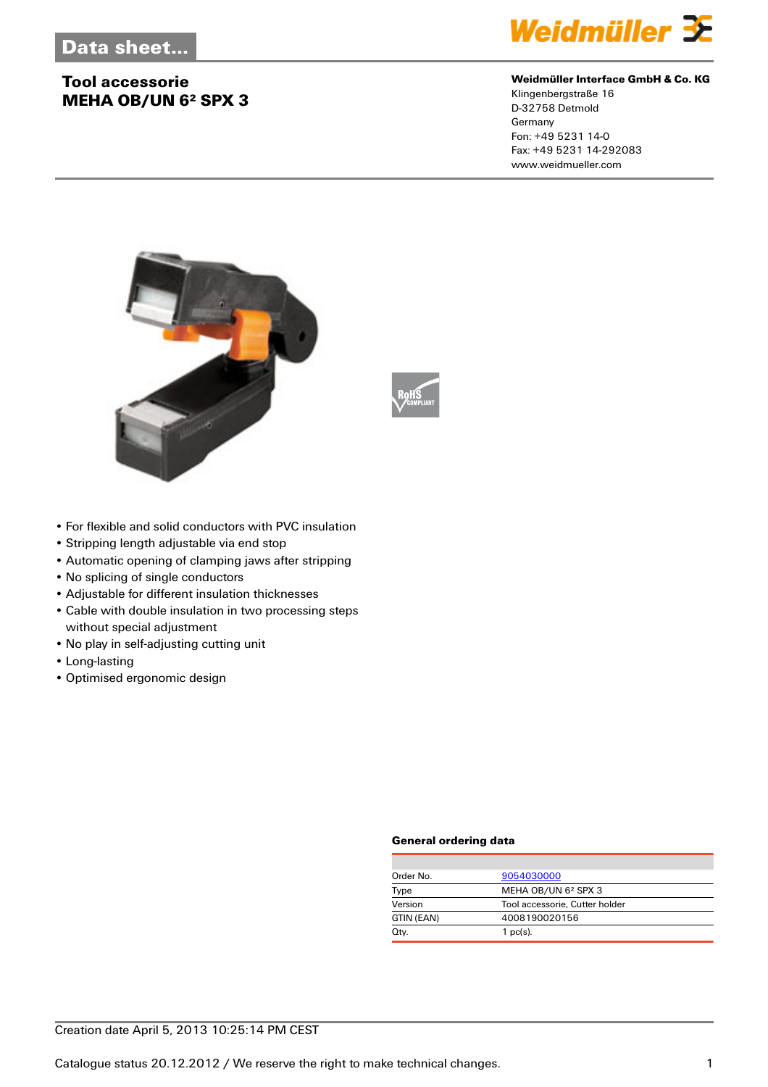# **Tool accessorie MEHA OB/UN 6² SPX 3**



#### **Weidmüller Interface GmbH & Co. KG**

Klingenbergstraße 16 D-32758 Detmold Germany Fon: +49 5231 14-0 Fax: +49 5231 14-292083 www.weidmueller.com





- For flexible and solid conductors with PVC insulation
- Stripping length adjustable via end stop
- Automatic opening of clamping jaws after stripping
- No splicing of single conductors
- Adjustable for different insulation thicknesses
- Cable with double insulation in two processing steps without special adjustment
- No play in self-adjusting cutting unit
- Long-lasting
- Optimised ergonomic design

#### **General ordering data**

| Order No.  | 9054030000                      |  |
|------------|---------------------------------|--|
| Type       | MEHA OB/UN 6 <sup>2</sup> SPX 3 |  |
| Version    | Tool accessorie, Cutter holder  |  |
| GTIN (EAN) | 4008190020156                   |  |
| Qty.       | $1$ pc(s).                      |  |